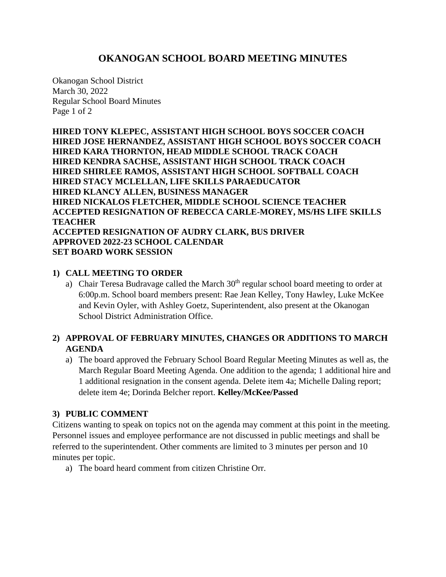# **OKANOGAN SCHOOL BOARD MEETING MINUTES**

Okanogan School District March 30, 2022 Regular School Board Minutes Page 1 of 2

**HIRED TONY KLEPEC, ASSISTANT HIGH SCHOOL BOYS SOCCER COACH HIRED JOSE HERNANDEZ, ASSISTANT HIGH SCHOOL BOYS SOCCER COACH HIRED KARA THORNTON, HEAD MIDDLE SCHOOL TRACK COACH HIRED KENDRA SACHSE, ASSISTANT HIGH SCHOOL TRACK COACH HIRED SHIRLEE RAMOS, ASSISTANT HIGH SCHOOL SOFTBALL COACH HIRED STACY MCLELLAN, LIFE SKILLS PARAEDUCATOR HIRED KLANCY ALLEN, BUSINESS MANAGER HIRED NICKALOS FLETCHER, MIDDLE SCHOOL SCIENCE TEACHER ACCEPTED RESIGNATION OF REBECCA CARLE-MOREY, MS/HS LIFE SKILLS TEACHER ACCEPTED RESIGNATION OF AUDRY CLARK, BUS DRIVER APPROVED 2022-23 SCHOOL CALENDAR SET BOARD WORK SESSION**

### **1) CALL MEETING TO ORDER**

a) Chair Teresa Budravage called the March  $30<sup>th</sup>$  regular school board meeting to order at 6:00p.m. School board members present: Rae Jean Kelley, Tony Hawley, Luke McKee and Kevin Oyler, with Ashley Goetz, Superintendent, also present at the Okanogan School District Administration Office.

## **2) APPROVAL OF FEBRUARY MINUTES, CHANGES OR ADDITIONS TO MARCH AGENDA**

a) The board approved the February School Board Regular Meeting Minutes as well as, the March Regular Board Meeting Agenda. One addition to the agenda; 1 additional hire and 1 additional resignation in the consent agenda. Delete item 4a; Michelle Daling report; delete item 4e; Dorinda Belcher report. **Kelley/McKee/Passed**

### **3) PUBLIC COMMENT**

Citizens wanting to speak on topics not on the agenda may comment at this point in the meeting. Personnel issues and employee performance are not discussed in public meetings and shall be referred to the superintendent. Other comments are limited to 3 minutes per person and 10 minutes per topic.

a) The board heard comment from citizen Christine Orr.